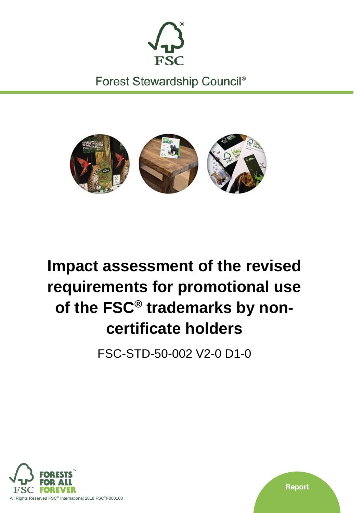

Forest Stewardship Council<sup>®</sup>



# **Impact assessment of the revised requirements for promotional use of the FSC® trademarks by noncertificate holders**

FSC-STD-50-002 V2-0 D1-0



**Report**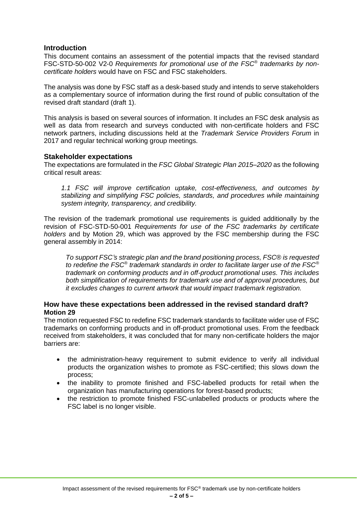## **Introduction**

This document contains an assessment of the potential impacts that the revised standard FSC-STD-50-002 V2-0 *Requirements for promotional use of the FSC® trademarks by noncertificate holders* would have on FSC and FSC stakeholders.

The analysis was done by FSC staff as a desk-based study and intends to serve stakeholders as a complementary source of information during the first round of public consultation of the revised draft standard (draft 1).

This analysis is based on several sources of information. It includes an FSC desk analysis as well as data from research and surveys conducted with non-certificate holders and FSC network partners, including discussions held at the *Trademark Service Providers Forum* in 2017 and regular technical working group meetings.

# **Stakeholder expectations**

The expectations are formulated in the *FSC Global Strategic Plan 2015–2020* as the following critical result areas:

*1.1 FSC will improve certification uptake, cost-effectiveness, and outcomes by stabilizing and simplifying FSC policies, standards, and procedures while maintaining system integrity, transparency, and credibility.*

The revision of the trademark promotional use requirements is guided additionally by the revision of FSC-STD-50-001 *Requirements for use of the FSC trademarks by certificate holders* and by Motion 29, which was approved by the FSC membership during the FSC general assembly in 2014:

*To support FSC's strategic plan and the brand positioning process, FSC® is requested to redefine the FSC® trademark standards in order to facilitate larger use of the FSC® trademark on conforming products and in off-product promotional uses. This includes both simplification of requirements for trademark use and of approval procedures, but it excludes changes to current artwork that would impact trademark registration.*

# **How have these expectations been addressed in the revised standard draft? Motion 29**

The motion requested FSC to redefine FSC trademark standards to facilitate wider use of FSC trademarks on conforming products and in off-product promotional uses. From the feedback received from stakeholders, it was concluded that for many non-certificate holders the major barriers are:

- the administration-heavy requirement to submit evidence to verify all individual products the organization wishes to promote as FSC-certified; this slows down the process;
- the inability to promote finished and FSC-labelled products for retail when the organization has manufacturing operations for forest-based products;
- the restriction to promote finished FSC-unlabelled products or products where the FSC label is no longer visible.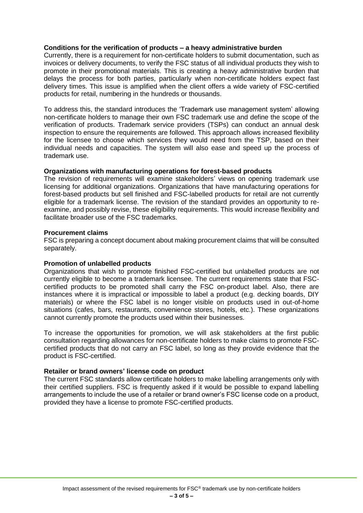## **Conditions for the verification of products – a heavy administrative burden**

Currently, there is a requirement for non-certificate holders to submit documentation, such as invoices or delivery documents, to verify the FSC status of all individual products they wish to promote in their promotional materials. This is creating a heavy administrative burden that delays the process for both parties, particularly when non-certificate holders expect fast delivery times. This issue is amplified when the client offers a wide variety of FSC-certified products for retail, numbering in the hundreds or thousands.

To address this, the standard introduces the 'Trademark use management system' allowing non-certificate holders to manage their own FSC trademark use and define the scope of the verification of products. Trademark service providers (TSPs) can conduct an annual desk inspection to ensure the requirements are followed. This approach allows increased flexibility for the licensee to choose which services they would need from the TSP, based on their individual needs and capacities. The system will also ease and speed up the process of trademark use.

#### **Organizations with manufacturing operations for forest-based products**

The revision of requirements will examine stakeholders' views on opening trademark use licensing for additional organizations. Organizations that have manufacturing operations for forest-based products but sell finished and FSC-labelled products for retail are not currently eligible for a trademark license. The revision of the standard provides an opportunity to reexamine, and possibly revise, these eligibility requirements. This would increase flexibility and facilitate broader use of the FSC trademarks.

#### **Procurement claims**

FSC is preparing a concept document about making procurement claims that will be consulted separately.

## **Promotion of unlabelled products**

Organizations that wish to promote finished FSC-certified but unlabelled products are not currently eligible to become a trademark licensee. The current requirements state that FSCcertified products to be promoted shall carry the FSC on-product label. Also, there are instances where it is impractical or impossible to label a product (e.g. decking boards, DIY materials) or where the FSC label is no longer visible on products used in out-of-home situations (cafes, bars, restaurants, convenience stores, hotels, etc.). These organizations cannot currently promote the products used within their businesses.

To increase the opportunities for promotion, we will ask stakeholders at the first public consultation regarding allowances for non-certificate holders to make claims to promote FSCcertified products that do not carry an FSC label, so long as they provide evidence that the product is FSC-certified.

#### **Retailer or brand owners' license code on product**

The current FSC standards allow certificate holders to make labelling arrangements only with their certified suppliers. FSC is frequently asked if it would be possible to expand labelling arrangements to include the use of a retailer or brand owner's FSC license code on a product, provided they have a license to promote FSC-certified products.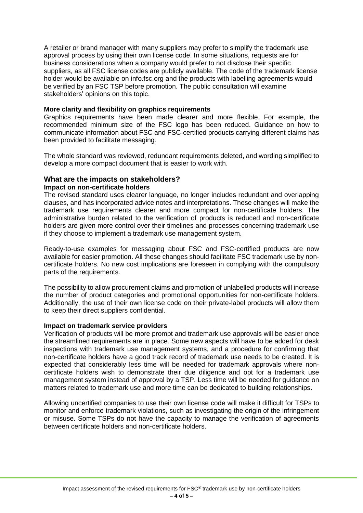A retailer or brand manager with many suppliers may prefer to simplify the trademark use approval process by using their own license code. In some situations, requests are for business considerations when a company would prefer to not disclose their specific suppliers, as all FSC license codes are publicly available. The code of the trademark license holder would be available on info.fsc.org and the products with labelling agreements would be verified by an FSC TSP before promotion. The public consultation will examine stakeholders' opinions on this topic.

#### **More clarity and flexibility on graphics requirements**

Graphics requirements have been made clearer and more flexible. For example, the recommended minimum size of the FSC logo has been reduced. Guidance on how to communicate information about FSC and FSC-certified products carrying different claims has been provided to facilitate messaging.

The whole standard was reviewed, redundant requirements deleted, and wording simplified to develop a more compact document that is easier to work with.

#### **What are the impacts on stakeholders? Impact on non-certificate holders**

The revised standard uses clearer language, no longer includes redundant and overlapping clauses, and has incorporated advice notes and interpretations. These changes will make the trademark use requirements clearer and more compact for non-certificate holders. The administrative burden related to the verification of products is reduced and non-certificate holders are given more control over their timelines and processes concerning trademark use if they choose to implement a trademark use management system.

Ready-to-use examples for messaging about FSC and FSC-certified products are now available for easier promotion. All these changes should facilitate FSC trademark use by noncertificate holders. No new cost implications are foreseen in complying with the compulsory parts of the requirements.

The possibility to allow procurement claims and promotion of unlabelled products will increase the number of product categories and promotional opportunities for non-certificate holders. Additionally, the use of their own license code on their private-label products will allow them to keep their direct suppliers confidential.

#### **Impact on trademark service providers**

Verification of products will be more prompt and trademark use approvals will be easier once the streamlined requirements are in place. Some new aspects will have to be added for desk inspections with trademark use management systems, and a procedure for confirming that non-certificate holders have a good track record of trademark use needs to be created. It is expected that considerably less time will be needed for trademark approvals where noncertificate holders wish to demonstrate their due diligence and opt for a trademark use management system instead of approval by a TSP. Less time will be needed for guidance on matters related to trademark use and more time can be dedicated to building relationships.

Allowing uncertified companies to use their own license code will make it difficult for TSPs to monitor and enforce trademark violations, such as investigating the origin of the infringement or misuse. Some TSPs do not have the capacity to manage the verification of agreements between certificate holders and non-certificate holders.